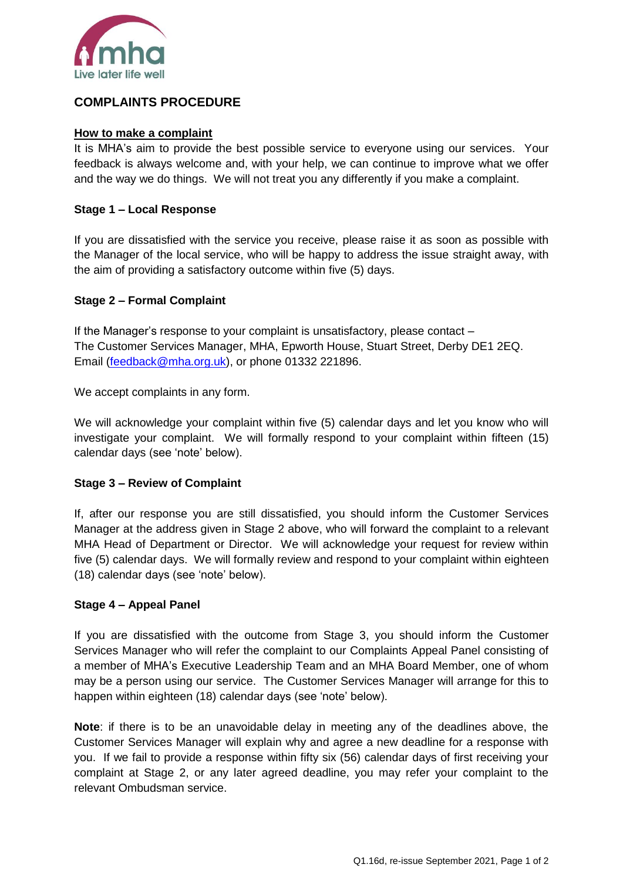

# **COMPLAINTS PROCEDURE**

### **How to make a complaint**

It is MHA's aim to provide the best possible service to everyone using our services. Your feedback is always welcome and, with your help, we can continue to improve what we offer and the way we do things. We will not treat you any differently if you make a complaint.

#### **Stage 1 – Local Response**

If you are dissatisfied with the service you receive, please raise it as soon as possible with the Manager of the local service, who will be happy to address the issue straight away, with the aim of providing a satisfactory outcome within five (5) days.

#### **Stage 2 – Formal Complaint**

If the Manager's response to your complaint is unsatisfactory, please contact – The Customer Services Manager, MHA, Epworth House, Stuart Street, Derby DE1 2EQ. Email [\(feedback@mha.org.uk\)](mailto:feedback@mha.org.uk), or phone 01332 221896.

We accept complaints in any form.

We will acknowledge your complaint within five (5) calendar days and let you know who will investigate your complaint. We will formally respond to your complaint within fifteen (15) calendar days (see 'note' below).

#### **Stage 3 – Review of Complaint**

If, after our response you are still dissatisfied, you should inform the Customer Services Manager at the address given in Stage 2 above, who will forward the complaint to a relevant MHA Head of Department or Director. We will acknowledge your request for review within five (5) calendar days. We will formally review and respond to your complaint within eighteen (18) calendar days (see 'note' below).

## **Stage 4 – Appeal Panel**

If you are dissatisfied with the outcome from Stage 3, you should inform the Customer Services Manager who will refer the complaint to our Complaints Appeal Panel consisting of a member of MHA's Executive Leadership Team and an MHA Board Member, one of whom may be a person using our service. The Customer Services Manager will arrange for this to happen within eighteen (18) calendar days (see 'note' below).

**Note**: if there is to be an unavoidable delay in meeting any of the deadlines above, the Customer Services Manager will explain why and agree a new deadline for a response with you. If we fail to provide a response within fifty six (56) calendar days of first receiving your complaint at Stage 2, or any later agreed deadline, you may refer your complaint to the relevant Ombudsman service.